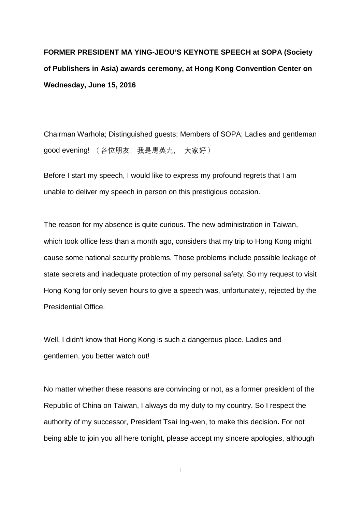**FORMER PRESIDENT MA YING-JEOU'S KEYNOTE SPEECH at SOPA (Society of Publishers in Asia) awards ceremony, at Hong Kong Convention Center on Wednesday, June 15, 2016**

Chairman Warhola; Distinguished guests; Members of SOPA; Ladies and gentleman good evening! (各位朋友, 我是馬英九, 大家好)

Before I start my speech, I would like to express my profound regrets that I am unable to deliver my speech in person on this prestigious occasion.

The reason for my absence is quite curious. The new administration in Taiwan, which took office less than a month ago, considers that my trip to Hong Kong might cause some national security problems. Those problems include possible leakage of state secrets and inadequate protection of my personal safety. So my request to visit Hong Kong for only seven hours to give a speech was, unfortunately, rejected by the Presidential Office.

Well, I didn't know that Hong Kong is such a dangerous place. Ladies and gentlemen, you better watch out!

No matter whether these reasons are convincing or not, as a former president of the Republic of China on Taiwan, I always do my duty to my country. So I respect the authority of my successor, President Tsai Ing-wen, to make this decision**.** For not being able to join you all here tonight, please accept my sincere apologies, although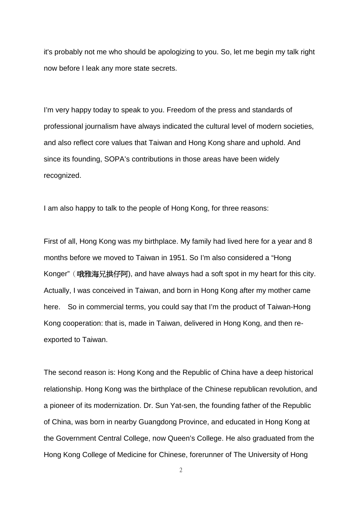it's probably not me who should be apologizing to you. So, let me begin my talk right now before I leak any more state secrets.

I'm very happy today to speak to you. Freedom of the press and standards of professional journalism have always indicated the cultural level of modern societies, and also reflect core values that Taiwan and Hong Kong share and uphold. And since its founding, SOPA's contributions in those areas have been widely recognized.

I am also happy to talk to the people of Hong Kong, for three reasons:

First of all, Hong Kong was my birthplace. My family had lived here for a year and 8 months before we moved to Taiwan in 1951. So I'm also considered a "Hong Konger" (哦雅海兄拱仔阿), and have always had a soft spot in my heart for this city. Actually, I was conceived in Taiwan, and born in Hong Kong after my mother came here. So in commercial terms, you could say that I'm the product of Taiwan-Hong Kong cooperation: that is, made in Taiwan, delivered in Hong Kong, and then reexported to Taiwan.

The second reason is: Hong Kong and the Republic of China have a deep historical relationship. Hong Kong was the birthplace of the Chinese republican revolution, and a pioneer of its modernization. Dr. Sun Yat-sen, the founding father of the Republic of China, was born in nearby Guangdong Province, and educated in Hong Kong at the Government Central College, now Queen's College. He also graduated from the Hong Kong College of Medicine for Chinese, forerunner of The University of Hong

 $\overline{2}$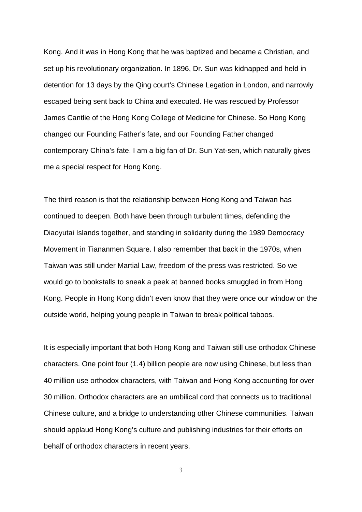Kong. And it was in Hong Kong that he was baptized and became a Christian, and set up his revolutionary organization. In 1896, Dr. Sun was kidnapped and held in detention for 13 days by the Qing court's Chinese Legation in London, and narrowly escaped being sent back to China and executed. He was rescued by Professor James Cantlie of the Hong Kong College of Medicine for Chinese. So Hong Kong changed our Founding Father's fate, and our Founding Father changed contemporary China's fate. I am a big fan of Dr. Sun Yat-sen, which naturally gives me a special respect for Hong Kong.

The third reason is that the relationship between Hong Kong and Taiwan has continued to deepen. Both have been through turbulent times, defending the Diaoyutai Islands together, and standing in solidarity during the 1989 Democracy Movement in Tiananmen Square. I also remember that back in the 1970s, when Taiwan was still under Martial Law, freedom of the press was restricted. So we would go to bookstalls to sneak a peek at banned books smuggled in from Hong Kong. People in Hong Kong didn't even know that they were once our window on the outside world, helping young people in Taiwan to break political taboos.

It is especially important that both Hong Kong and Taiwan still use orthodox Chinese characters. One point four (1.4) billion people are now using Chinese, but less than 40 million use orthodox characters, with Taiwan and Hong Kong accounting for over 30 million. Orthodox characters are an umbilical cord that connects us to traditional Chinese culture, and a bridge to understanding other Chinese communities. Taiwan should applaud Hong Kong's culture and publishing industries for their efforts on behalf of orthodox characters in recent years.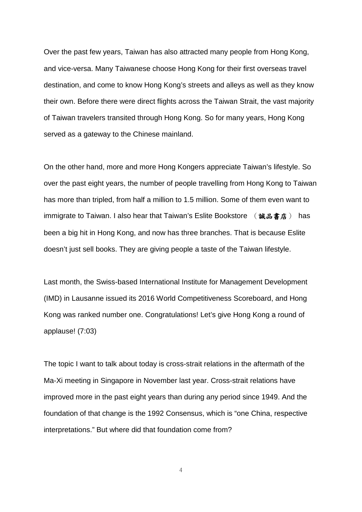Over the past few years, Taiwan has also attracted many people from Hong Kong, and vice-versa. Many Taiwanese choose Hong Kong for their first overseas travel destination, and come to know Hong Kong's streets and alleys as well as they know their own. Before there were direct flights across the Taiwan Strait, the vast majority of Taiwan travelers transited through Hong Kong. So for many years, Hong Kong served as a gateway to the Chinese mainland.

On the other hand, more and more Hong Kongers appreciate Taiwan's lifestyle. So over the past eight years, the number of people travelling from Hong Kong to Taiwan has more than tripled, from half a million to 1.5 million. Some of them even want to immigrate to Taiwan. I also hear that Taiwan's Eslite Bookstore ( 誠品書店) has been a big hit in Hong Kong, and now has three branches. That is because Eslite doesn't just sell books. They are giving people a taste of the Taiwan lifestyle.

Last month, the Swiss-based International Institute for Management Development (IMD) in Lausanne issued its 2016 World Competitiveness Scoreboard, and Hong Kong was ranked number one. Congratulations! Let's give Hong Kong a round of applause! (7:03)

The topic I want to talk about today is cross-strait relations in the aftermath of the Ma-Xi meeting in Singapore in November last year. Cross-strait relations have improved more in the past eight years than during any period since 1949. And the foundation of that change is the 1992 Consensus, which is "one China, respective interpretations." But where did that foundation come from?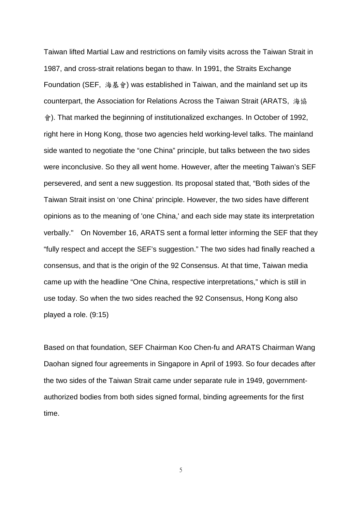Taiwan lifted Martial Law and restrictions on family visits across the Taiwan Strait in 1987, and cross-strait relations began to thaw. In 1991, the Straits Exchange Foundation (SEF, 海基會) was established in Taiwan, and the mainland set up its counterpart, the Association for Relations Across the Taiwan Strait (ARATS, 海協 會). That marked the beginning of institutionalized exchanges. In October of 1992, right here in Hong Kong, those two agencies held working-level talks. The mainland side wanted to negotiate the "one China" principle, but talks between the two sides were inconclusive. So they all went home. However, after the meeting Taiwan's SEF persevered, and sent a new suggestion. Its proposal stated that, "Both sides of the Taiwan Strait insist on 'one China' principle. However, the two sides have different opinions as to the meaning of 'one China,' and each side may state its interpretation verbally." On November 16, ARATS sent a formal letter informing the SEF that they "fully respect and accept the SEF's suggestion." The two sides had finally reached a consensus, and that is the origin of the 92 Consensus. At that time, Taiwan media came up with the headline "One China, respective interpretations," which is still in use today. So when the two sides reached the 92 Consensus, Hong Kong also played a role. (9:15)

Based on that foundation, SEF Chairman Koo Chen-fu and ARATS Chairman Wang Daohan signed four agreements in Singapore in April of 1993. So four decades after the two sides of the Taiwan Strait came under separate rule in 1949, governmentauthorized bodies from both sides signed formal, binding agreements for the first time.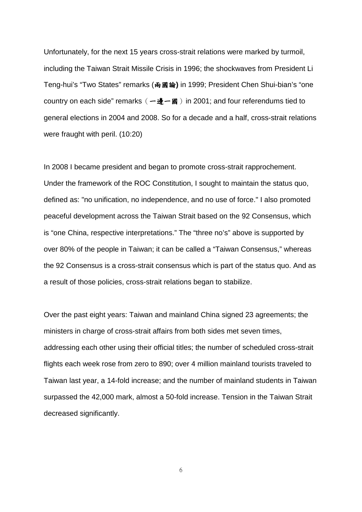Unfortunately, for the next 15 years cross-strait relations were marked by turmoil, including the Taiwan Strait Missile Crisis in 1996; the shockwaves from President Li Teng-hui's "Two States" remarks (兩國論**)** in 1999; President Chen Shui-bian's "one country on each side" remarks  $(-\frac{1}{2} - \mathbb{B})$  in 2001; and four referendums tied to general elections in 2004 and 2008. So for a decade and a half, cross-strait relations were fraught with peril. (10:20)

In 2008 I became president and began to promote cross-strait rapprochement. Under the framework of the ROC Constitution, I sought to maintain the status quo, defined as: "no unification, no independence, and no use of force." I also promoted peaceful development across the Taiwan Strait based on the 92 Consensus, which is "one China, respective interpretations." The "three no's" above is supported by over 80% of the people in Taiwan; it can be called a "Taiwan Consensus," whereas the 92 Consensus is a cross-strait consensus which is part of the status quo. And as a result of those policies, cross-strait relations began to stabilize.

Over the past eight years: Taiwan and mainland China signed 23 agreements; the ministers in charge of cross-strait affairs from both sides met seven times, addressing each other using their official titles; the number of scheduled cross-strait flights each week rose from zero to 890; over 4 million mainland tourists traveled to Taiwan last year, a 14-fold increase; and the number of mainland students in Taiwan surpassed the 42,000 mark, almost a 50-fold increase. Tension in the Taiwan Strait decreased significantly.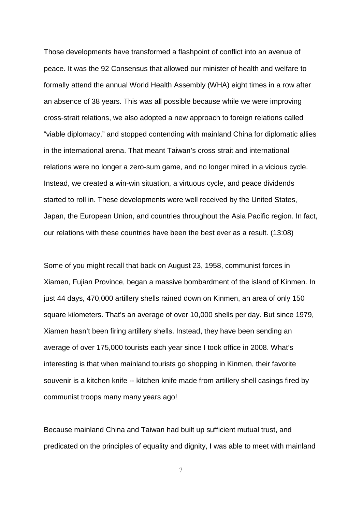Those developments have transformed a flashpoint of conflict into an avenue of peace. It was the 92 Consensus that allowed our minister of health and welfare to formally attend the annual World Health Assembly (WHA) eight times in a row after an absence of 38 years. This was all possible because while we were improving cross-strait relations, we also adopted a new approach to foreign relations called "viable diplomacy," and stopped contending with mainland China for diplomatic allies in the international arena. That meant Taiwan's cross strait and international relations were no longer a zero-sum game, and no longer mired in a vicious cycle. Instead, we created a win-win situation, a virtuous cycle, and peace dividends started to roll in. These developments were well received by the United States, Japan, the European Union, and countries throughout the Asia Pacific region. In fact, our relations with these countries have been the best ever as a result. (13:08)

Some of you might recall that back on August 23, 1958, communist forces in Xiamen, Fujian Province, began a massive bombardment of the island of Kinmen. In just 44 days, 470,000 artillery shells rained down on Kinmen, an area of only 150 square kilometers. That's an average of over 10,000 shells per day. But since 1979, Xiamen hasn't been firing artillery shells. Instead, they have been sending an average of over 175,000 tourists each year since I took office in 2008. What's interesting is that when mainland tourists go shopping in Kinmen, their favorite souvenir is a kitchen knife -- kitchen knife made from artillery shell casings fired by communist troops many many years ago!

Because mainland China and Taiwan had built up sufficient mutual trust, and predicated on the principles of equality and dignity, I was able to meet with mainland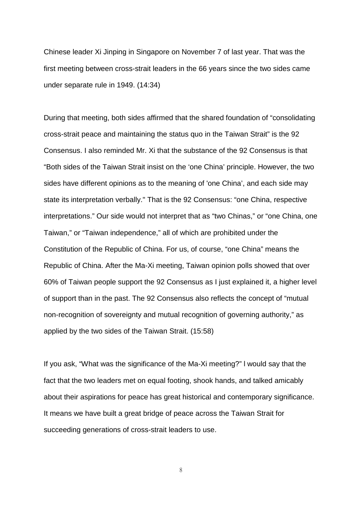Chinese leader Xi Jinping in Singapore on November 7 of last year. That was the first meeting between cross-strait leaders in the 66 years since the two sides came under separate rule in 1949. (14:34)

During that meeting, both sides affirmed that the shared foundation of "consolidating cross-strait peace and maintaining the status quo in the Taiwan Strait" is the 92 Consensus. I also reminded Mr. Xi that the substance of the 92 Consensus is that "Both sides of the Taiwan Strait insist on the 'one China' principle. However, the two sides have different opinions as to the meaning of 'one China', and each side may state its interpretation verbally." That is the 92 Consensus: "one China, respective interpretations." Our side would not interpret that as "two Chinas," or "one China, one Taiwan," or "Taiwan independence," all of which are prohibited under the Constitution of the Republic of China. For us, of course, "one China" means the Republic of China. After the Ma-Xi meeting, Taiwan opinion polls showed that over 60% of Taiwan people support the 92 Consensus as I just explained it, a higher level of support than in the past. The 92 Consensus also reflects the concept of "mutual non-recognition of sovereignty and mutual recognition of governing authority," as applied by the two sides of the Taiwan Strait. (15:58)

If you ask, "What was the significance of the Ma-Xi meeting?" l would say that the fact that the two leaders met on equal footing, shook hands, and talked amicably about their aspirations for peace has great historical and contemporary significance. It means we have built a great bridge of peace across the Taiwan Strait for succeeding generations of cross-strait leaders to use.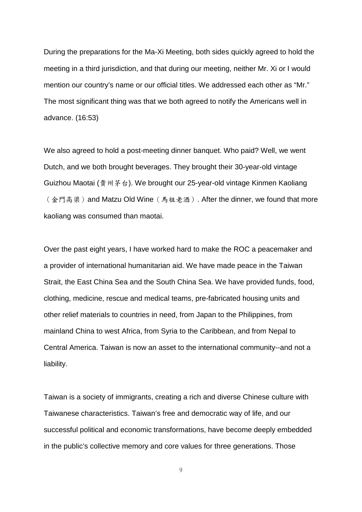During the preparations for the Ma-Xi Meeting, both sides quickly agreed to hold the meeting in a third jurisdiction, and that during our meeting, neither Mr. Xi or I would mention our country's name or our official titles. We addressed each other as "Mr." The most significant thing was that we both agreed to notify the Americans well in advance. (16:53)

We also agreed to hold a post-meeting dinner banquet. Who paid? Well, we went Dutch, and we both brought beverages. They brought their 30-year-old vintage Guizhou Maotai (貴州茅台). We brought our 25-year-old vintage Kinmen Kaoliang (金門高梁) and Matzu Old Wine (馬祖老酒). After the dinner, we found that more kaoliang was consumed than maotai.

Over the past eight years, I have worked hard to make the ROC a peacemaker and a provider of international humanitarian aid. We have made peace in the Taiwan Strait, the East China Sea and the South China Sea. We have provided funds, food, clothing, medicine, rescue and medical teams, pre-fabricated housing units and other relief materials to countries in need, from Japan to the Philippines, from mainland China to west Africa, from Syria to the Caribbean, and from Nepal to Central America. Taiwan is now an asset to the international community--and not a liability.

Taiwan is a society of immigrants, creating a rich and diverse Chinese culture with Taiwanese characteristics. Taiwan's free and democratic way of life, and our successful political and economic transformations, have become deeply embedded in the public's collective memory and core values for three generations. Those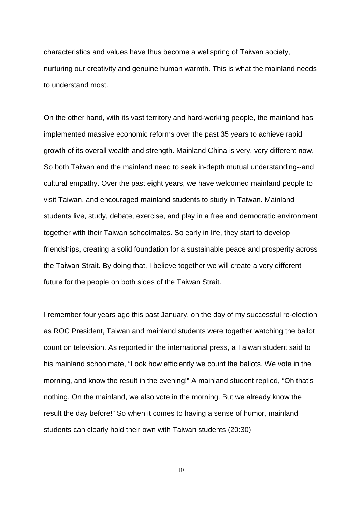characteristics and values have thus become a wellspring of Taiwan society, nurturing our creativity and genuine human warmth. This is what the mainland needs to understand most.

On the other hand, with its vast territory and hard-working people, the mainland has implemented massive economic reforms over the past 35 years to achieve rapid growth of its overall wealth and strength. Mainland China is very, very different now. So both Taiwan and the mainland need to seek in-depth mutual understanding--and cultural empathy. Over the past eight years, we have welcomed mainland people to visit Taiwan, and encouraged mainland students to study in Taiwan. Mainland students live, study, debate, exercise, and play in a free and democratic environment together with their Taiwan schoolmates. So early in life, they start to develop friendships, creating a solid foundation for a sustainable peace and prosperity across the Taiwan Strait. By doing that, I believe together we will create a very different future for the people on both sides of the Taiwan Strait.

I remember four years ago this past January, on the day of my successful re-election as ROC President, Taiwan and mainland students were together watching the ballot count on television. As reported in the international press, a Taiwan student said to his mainland schoolmate, "Look how efficiently we count the ballots. We vote in the morning, and know the result in the evening!" A mainland student replied, "Oh that's nothing. On the mainland, we also vote in the morning. But we already know the result the day before!" So when it comes to having a sense of humor, mainland students can clearly hold their own with Taiwan students (20:30)